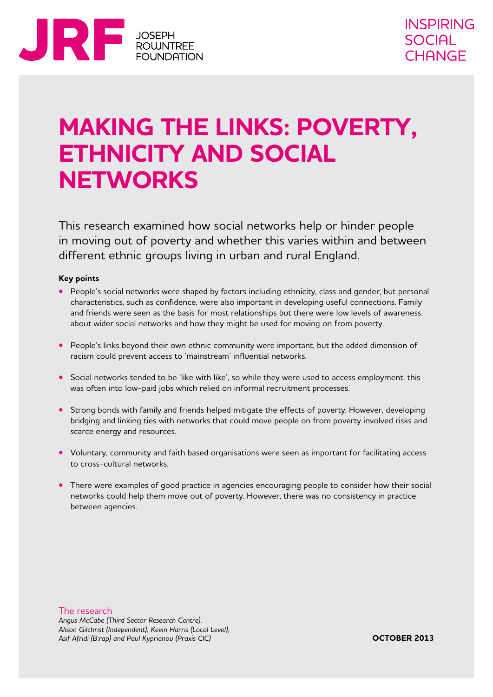

## **MAKING THE LINKS: POVERTY, ETHNICITY AND SOCIAL NETWORKS**

This research examined how social networks help or hinder people in moving out of poverty and whether this varies within and between different ethnic groups living in urban and rural England.

#### **Key points**

- People's social networks were shaped by factors including ethnicity, class and gender, but personal characteristics, such as confidence, were also important in developing useful connections. Family and friends were seen as the basis for most relationships but there were low levels of awareness about wider social networks and how they might be used for moving on from poverty.
- **•**  People's links beyond their own ethnic community were important, but the added dimension of racism could prevent access to 'mainstream' influential networks.
- Social networks tended to be 'like with like', so while they were used to access employment, this was often into low-paid jobs which relied on informal recruitment processes.
- **•** Strong bonds with family and friends helped mitigate the effects of poverty. However, developing bridging and linking ties with networks that could move people on from poverty involved risks and scarce energy and resources.
- Voluntary, community and faith based organisations were seen as important for facilitating access to cross-cultural networks.
- There were examples of good practice in agencies encouraging people to consider how their social networks could help them move out of poverty. However, there was no consistency in practice between agencies.

The research

*Angus McCabe (Third Sector Research Centre), Alison Gilchrist (Independent), Kevin Harris (Local Level), Asif Afridi (B:rap) and Paul Kyprianou (Praxis CIC)*

**OCTOBER 2013**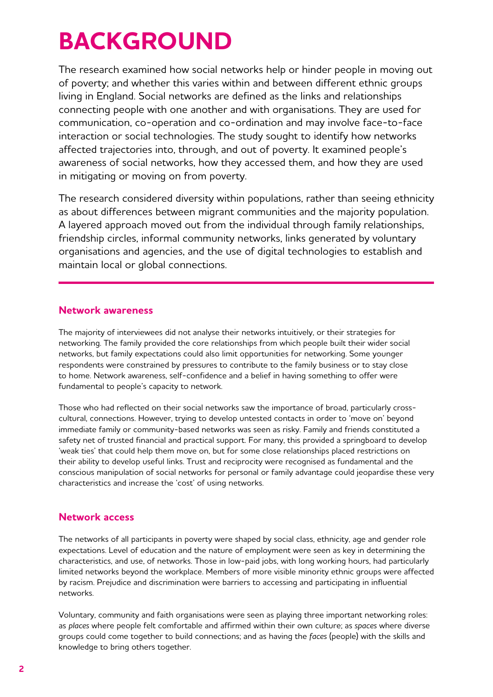# **BACKGROUND**

The research examined how social networks help or hinder people in moving out of poverty; and whether this varies within and between different ethnic groups living in England. Social networks are defined as the links and relationships connecting people with one another and with organisations. They are used for communication, co-operation and co-ordination and may involve face-to-face interaction or social technologies. The study sought to identify how networks affected trajectories into, through, and out of poverty. It examined people's awareness of social networks, how they accessed them, and how they are used in mitigating or moving on from poverty.

The research considered diversity within populations, rather than seeing ethnicity as about differences between migrant communities and the majority population. A layered approach moved out from the individual through family relationships, friendship circles, informal community networks, links generated by voluntary organisations and agencies, and the use of digital technologies to establish and maintain local or global connections.

#### **Network awareness**

The majority of interviewees did not analyse their networks intuitively, or their strategies for networking. The family provided the core relationships from which people built their wider social networks, but family expectations could also limit opportunities for networking. Some younger respondents were constrained by pressures to contribute to the family business or to stay close to home. Network awareness, self-confidence and a belief in having something to offer were fundamental to people's capacity to network.

Those who had reflected on their social networks saw the importance of broad, particularly crosscultural, connections. However, trying to develop untested contacts in order to 'move on' beyond immediate family or community-based networks was seen as risky. Family and friends constituted a safety net of trusted financial and practical support. For many, this provided a springboard to develop 'weak ties' that could help them move on, but for some close relationships placed restrictions on their ability to develop useful links. Trust and reciprocity were recognised as fundamental and the conscious manipulation of social networks for personal or family advantage could jeopardise these very characteristics and increase the 'cost' of using networks.

## **Network access**

The networks of all participants in poverty were shaped by social class, ethnicity, age and gender role expectations. Level of education and the nature of employment were seen as key in determining the characteristics, and use, of networks. Those in low-paid jobs, with long working hours, had particularly limited networks beyond the workplace. Members of more visible minority ethnic groups were affected by racism. Prejudice and discrimination were barriers to accessing and participating in influential networks.

Voluntary, community and faith organisations were seen as playing three important networking roles: as *places* where people felt comfortable and affirmed within their own culture; as *spaces* where diverse groups could come together to build connections; and as having the *faces* (people) with the skills and knowledge to bring others together.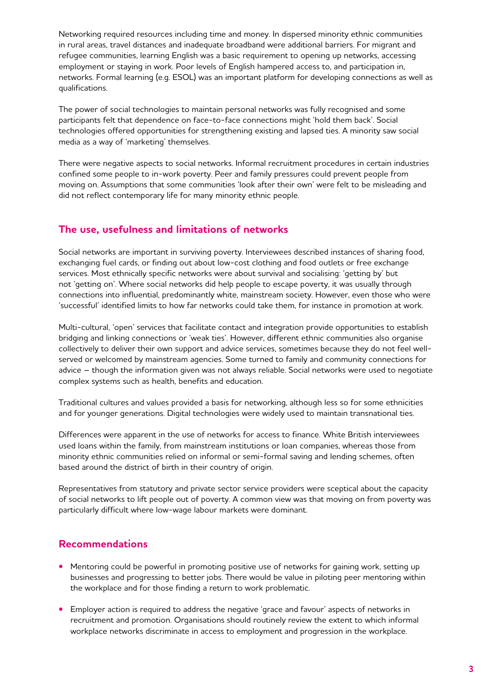Networking required resources including time and money. In dispersed minority ethnic communities in rural areas, travel distances and inadequate broadband were additional barriers. For migrant and refugee communities, learning English was a basic requirement to opening up networks, accessing employment or staying in work. Poor levels of English hampered access to, and participation in, networks. Formal learning (e.g. ESOL) was an important platform for developing connections as well as qualifications.

The power of social technologies to maintain personal networks was fully recognised and some participants felt that dependence on face-to-face connections might 'hold them back'. Social technologies offered opportunities for strengthening existing and lapsed ties. A minority saw social media as a way of 'marketing' themselves.

There were negative aspects to social networks. Informal recruitment procedures in certain industries confined some people to in-work poverty. Peer and family pressures could prevent people from moving on. Assumptions that some communities 'look after their own' were felt to be misleading and did not reflect contemporary life for many minority ethnic people.

#### **The use, usefulness and limitations of networks**

Social networks are important in surviving poverty. Interviewees described instances of sharing food, exchanging fuel cards, or finding out about low-cost clothing and food outlets or free exchange services. Most ethnically specific networks were about survival and socialising: 'getting by' but not 'getting on'. Where social networks did help people to escape poverty, it was usually through connections into influential, predominantly white, mainstream society. However, even those who were 'successful' identified limits to how far networks could take them, for instance in promotion at work.

Multi-cultural, 'open' services that facilitate contact and integration provide opportunities to establish bridging and linking connections or 'weak ties'. However, different ethnic communities also organise collectively to deliver their own support and advice services, sometimes because they do not feel wellserved or welcomed by mainstream agencies. Some turned to family and community connections for advice – though the information given was not always reliable. Social networks were used to negotiate complex systems such as health, benefits and education.

Traditional cultures and values provided a basis for networking, although less so for some ethnicities and for younger generations. Digital technologies were widely used to maintain transnational ties.

Differences were apparent in the use of networks for access to finance. White British interviewees used loans within the family, from mainstream institutions or loan companies, whereas those from minority ethnic communities relied on informal or semi-formal saving and lending schemes, often based around the district of birth in their country of origin.

Representatives from statutory and private sector service providers were sceptical about the capacity of social networks to lift people out of poverty. A common view was that moving on from poverty was particularly difficult where low-wage labour markets were dominant.

## **Recommendations**

- Mentoring could be powerful in promoting positive use of networks for gaining work, setting up businesses and progressing to better jobs. There would be value in piloting peer mentoring within the workplace and for those finding a return to work problematic.
- **•** Employer action is required to address the negative 'grace and favour' aspects of networks in recruitment and promotion. Organisations should routinely review the extent to which informal workplace networks discriminate in access to employment and progression in the workplace.